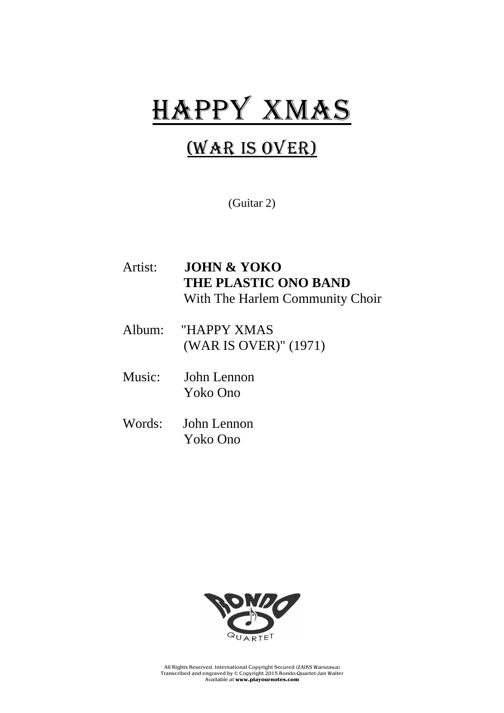## HAPPY XMAS

## (War is over)

(Guitar 2)

| Artist: | <b>JOHN &amp; YOKO</b><br><b>THE PLASTIC ONO BAND</b><br>With The Harlem Community Choir |
|---------|------------------------------------------------------------------------------------------|
|         | Album: "HAPPY XMAS<br>(WAR IS OVER)" (1971)                                              |
| Music:  | John Lennon<br>Yoko Ono                                                                  |
|         | $W_{\alpha}$ $\alpha$ $I_{\alpha}$ $I_{\alpha}$ $\alpha$                                 |

Words: John Lennon Yoko Ono



All Rights Reserved. International Copyright Secured (ZAiKS Warszawa) Transcribed and engraved by © Copyright 2015 Rondo-Quartet-Jan Walter Available at **www.playournotes.com**